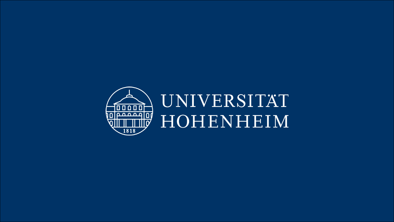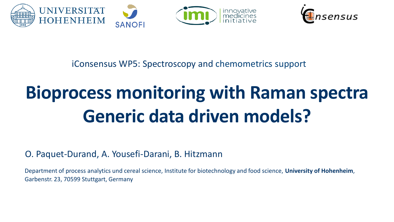



iConsensus WP5: Spectroscopy and chemometrics support

# **Bioprocess monitoring with Raman spectra Generic data driven models?**

O. Paquet-Durand, A. Yousefi-Darani, B. Hitzmann

Department of process analytics und cereal science, Institute for biotechnology and food science, **University of Hohenheim**, Garbenstr. 23, 70599 Stuttgart, Germany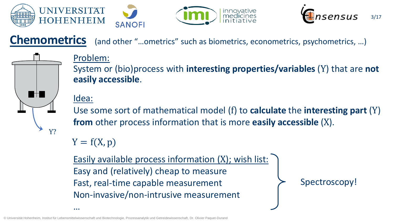





**Chemometrics** (and other "...ometrics" such as biometrics, econometrics, psychometrics, ...)



#### Problem:

System or (bio)process with **interesting properties/variables** (Y) that are **not easily accessible**.

#### Idea:

…

Use some sort of mathematical model (f) to **calculate** the **interesting part** (Y) **from** other process information that is more **easily accessible** (X).

 $Y = f(X, p)$ 

Easily available process information (X); wish list: Easy and (relatively) cheap to measure Fast, real-time capable measurement Non-invasive/non-intrusive measurement

Spectroscopy!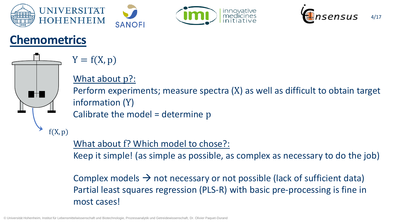





## **Chemometrics**



 $Y = f(X, p)$ 

#### What about p?:

Perform experiments; measure spectra (X) as well as difficult to obtain target information (Y)

Calibrate the model = determine p

What about f? Which model to chose?:

Keep it simple! (as simple as possible, as complex as necessary to do the job)

Complex models  $\rightarrow$  not necessary or not possible (lack of sufficient data) Partial least squares regression (PLS-R) with basic pre-processing is fine in most cases!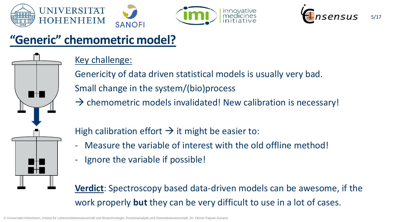



# **"Generic" chemometric model?**

#### Key challenge:

Genericity of data driven statistical models is usually very bad. Small change in the system/(bio)process

 $\rightarrow$  chemometric models invalidated! New calibration is necessary!

innovative

med

High calibration effort  $\rightarrow$  it might be easier to:

- Measure the variable of interest with the old offline method!
- Ignore the variable if possible!

**Verdict**: Spectroscopy based data-driven models can be awesome, if the work properly **but** they can be very difficult to use in a lot of cases.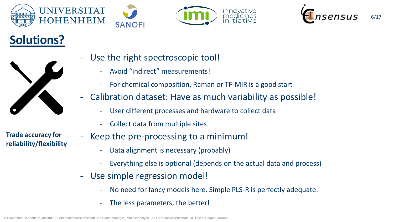





# **Solutions?**



**Trade accuracy for reliability/flexibility**

- Use the right spectroscopic tool!
	- Avoid "indirect" measurements!
	- For chemical composition, Raman or TF-MIR is a good start
- Calibration dataset: Have as much variability as possible!
	- User different processes and hardware to collect data
	- Collect data from multiple sites
- Keep the pre-processing to a minimum!
	- Data alignment is necessary (probably)
	- Everything else is optional (depends on the actual data and process)
- Use simple regression model!
	- No need for fancy models here. Simple PLS-R is perfectly adequate.
	- The less parameters, the better!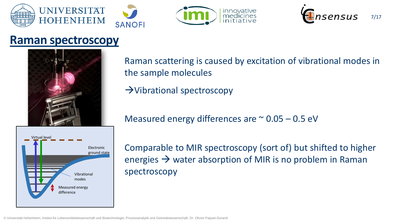





#### **Raman spectroscopy**



Virtual level Measured energy difference Electronic ground state Vibrational modes

Raman scattering is caused by excitation of vibrational modes in the sample molecules

 $\rightarrow$ Vibrational spectroscopy

Measured energy differences are  $\approx$  0.05 – 0.5 eV

Comparable to MIR spectroscopy (sort of) but shifted to higher energies  $\rightarrow$  water absorption of MIR is no problem in Raman spectroscopy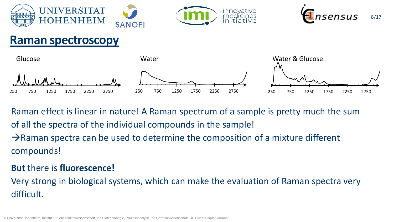





### **Raman spectroscopy**



Raman effect is linear in nature! A Raman spectrum of a sample is pretty much the sum of all the spectra of the individual compounds in the sample!

 $\rightarrow$ Raman spectra can be used to determine the composition of a mixture different compounds!

#### **But** there is **fluorescence!**

Very strong in biological systems, which can make the evaluation of Raman spectra very difficult.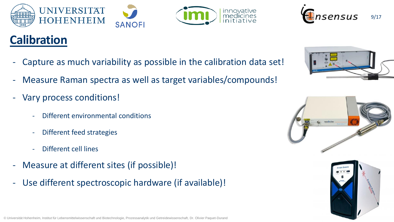



## **Calibration**

- Capture as much variability as possible in the calibration data set!
- Measure Raman spectra as well as target variables/compounds!
- Vary process conditions!
	- Different environmental conditions
	- Different feed strategies
	- Different cell lines
- Measure at different sites (if possible)!
- Use different spectroscopic hardware (if available)!





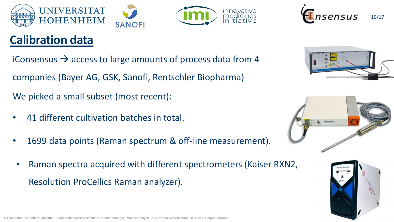



# **Calibration data**

iConsensus  $\rightarrow$  access to large amounts of process data from 4 companies (Bayer AG, GSK, Sanofi, Rentschler Biopharma)

We picked a small subset (most recent):

- 41 different cultivation batches in total.
- 1699 data points (Raman spectrum & off-line measurement).
- Raman spectra acquired with different spectrometers (Kaiser RXN2, Resolution ProCellics Raman analyzer).







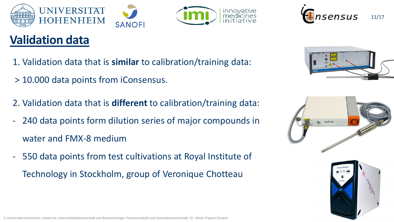



# **Validation data**

- 1. Validation data that is **similar** to calibration/training data:
- > 10.000 data points from iConsensus.
- 2. Validation data that is **different** to calibration/training data:
- 240 data points form dilution series of major compounds in water and FMX-8 medium
- 550 data points from test cultivations at Royal Institute of Technology in Stockholm, group of Veronique Chotteau





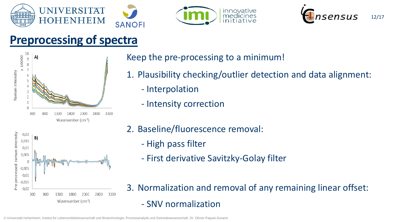





### **Preprocessing of spectra**



Keep the pre-processing to a minimum!

- 1. Plausibility checking/outlier detection and data alignment:
	- Interpolation
	- Intensity correction



- 2. Baseline/fluorescence removal:
	- High pass filter
	- First derivative Savitzky-Golay filter
- 3. Normalization and removal of any remaining linear offset: - SNV normalization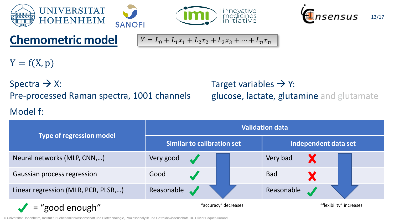





## **Chemometric model**

$$
Y = L_0 + L_1 x_1 + L_2 x_2 + L_3 x_3 + \dots + L_n x_n
$$

 $Y = f(X, p)$ 

Spectra  $\rightarrow$  X: Pre-processed Raman spectra, 1001 channels

#### Model f:

#### Target variables  $\rightarrow$  Y: glucose, lactate, glutamine and glutamate

| <b>Type of regression model</b>     | <b>Validation data</b>            |                         |  |                      |                         |  |  |
|-------------------------------------|-----------------------------------|-------------------------|--|----------------------|-------------------------|--|--|
|                                     | <b>Similar to calibration set</b> |                         |  | Independent data set |                         |  |  |
| Neural networks (MLP, CNN,)         | Very good                         |                         |  | Very bad             |                         |  |  |
| Gaussian process regression         | Good                              |                         |  | <b>Bad</b>           |                         |  |  |
| Linear regression (MLR, PCR, PLSR,) | Reasonable                        | $\overline{\mathbf{A}}$ |  | Reasonable           |                         |  |  |
| = "good enough"                     | "accuracy" decreases              |                         |  |                      | "flexibility" increases |  |  |

© Universität Hohenheim, Institut für Lebensmittelwissenschaft und Biotechnologie, Prozessanalytik und Getreidewissenschaft, Dr. Olivier Paquet-Durand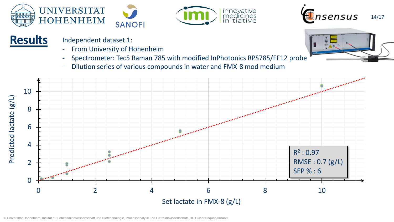





#### **Results**



- From University of Hohenheim
- Spectrometer: Tec5 Raman 785 with modified InPhotonics RPS785/FF12 probe
- Dilution series of various compounds in water and FMX-8 mod medium



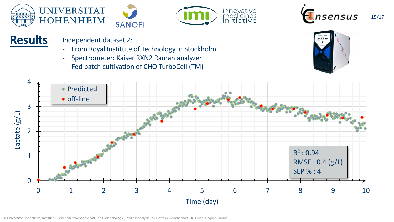





# **Results** Independent dataset 2:<br>From Royal Institute

- From Royal Institute of Technology in Stockholm
- Spectrometer: Kaiser RXN2 Raman analyzer
- Fed batch cultivation of CHO TurboCell (TM)



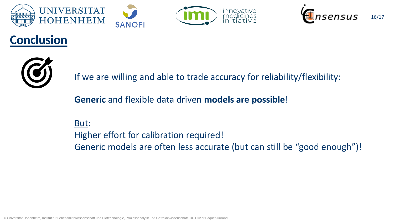





# **Conclusion**



If we are willing and able to trade accuracy for reliability/flexibility:

**Generic** and flexible data driven **models are possible**!

But: Higher effort for calibration required! Generic models are often less accurate (but can still be "good enough")!